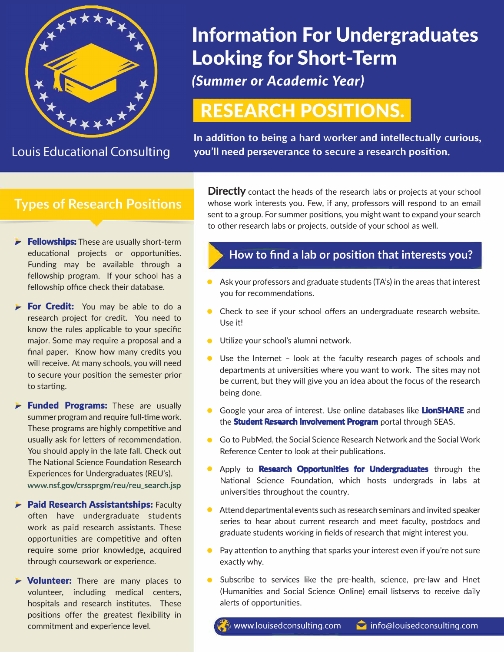

# **Information For Undergraduates Looking for Short-Term**

*(Summer or Academic Year)* 

## **RESEARCH POSITIONS.**

**In addition to being a hard worker and intellectually curious, Louis Educational Consulting you'll need perseverance to secure a research position.** 

#### **Types of Research Positions**

- **Fellowships:** These are usually short-term educational projects or opportunities. Funding may be available through a fellowship program. If your school has a fellowship office check their database.
- **For Credit:** You may be able to do a research project for credit. You need to know the rules applicable to your specific major. Some may require a proposal and a final paper. Know how many credits you will receive. At many schools, you will need to secure your position the semester prior to starting.
- **Funded Programs:** These are usually summer program and require full-time work. These programs are highly competitive and usually ask for letters of recommendation. You should apply in the late fall. Check out The National Science Foundation Research Experiences for Undergraduates (REU's). **www.nsf.gov/crssprgm/reu/reu\_search.jsp**
- **Paid Research Assistantships: Faculty** often have undergraduate students work as paid research assistants. These opportunities are competitive and often require some prior knowledge, acquired through coursework or experience.
- *Volunteer:* There are many places to volunteer, including medical centers, hospitals and research institutes. These positions offer the greatest flexibility in commitment and experience level.

**Directly** contact the heads of the research labs or projects at your school whose work interests you. Few, if any, professors will respond to an email sent to a group. For summer positions, you might want to expand your search to other research labs or projects, outside of your school as well.

#### **How to find a lab or position that interests you?**

- Ask your professors and graduate students (TA's) in the areas that interest you for recommendations.
- Check to see if your school offers an undergraduate research website. Use it!
- **•** Utilize your school's alumni network.
- Use the Internet look at the faculty research pages of schools and departments at universities where you want to work. The sites may not be current, but they will give you an idea about the focus of the research being done.
- Google your area of interest. Use online databases like **LionSHARE** and the **Student Research Involvement Program** portal through SEAS.
- Go to PubMed, the Social Science Research Network and the Social Work Reference Center to look at their publications.
- Apply to **Research Opportunities for Undergraduates** through the National Science Foundation, which hosts undergrads in labs at universities throughout the country.
- Attend departmental events such as research seminars and invited speaker series to hear about current research and meet faculty, postdocs and graduate students working in fields of research that might interest you.
- Pay attention to anything that sparks your interest even if you're not sure exactly why.
- Subscribe to services like the pre-health, science, pre-law and Hnet (Humanities and Social Science Online) email listservs to receive daily alerts of opportunities.